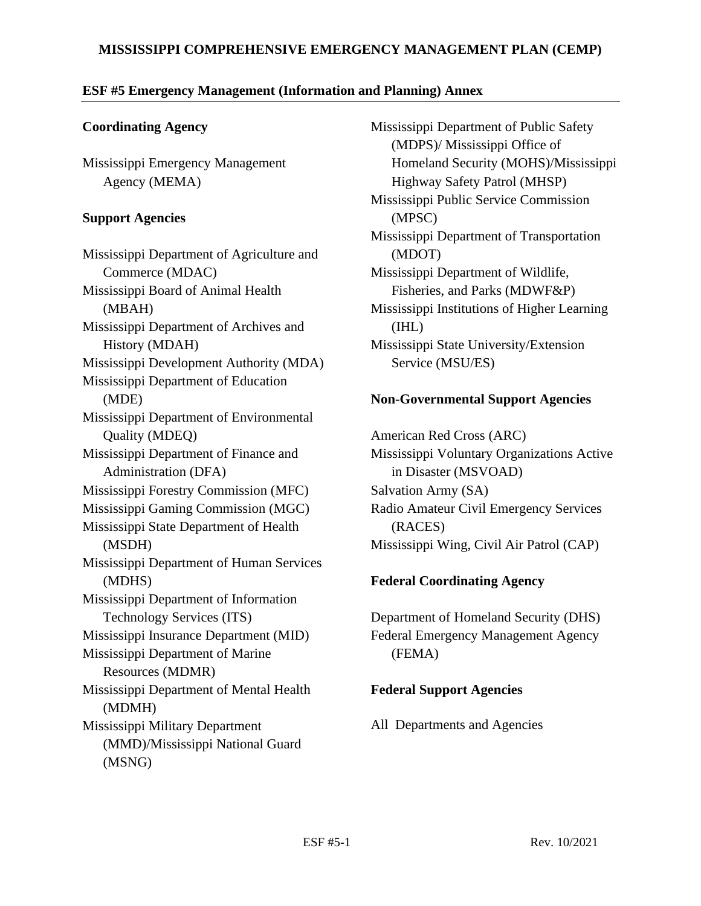## **MISSISSIPPI COMPREHENSIVE EMERGENCY MANAGEMENT PLAN (CEMP)**

#### **ESF #5 Emergency Management (Information and Planning) Annex**

#### **Coordinating Agency**

Mississippi Emergency Management Agency (MEMA)

#### **Support Agencies**

Mississippi Department of Agriculture and Commerce (MDAC) Mississippi Board of Animal Health (MBAH) Mississippi Department of Archives and History (MDAH) Mississippi Development Authority (MDA) Mississippi Department of Education (MDE) Mississippi Department of Environmental Quality (MDEQ) Mississippi Department of Finance and Administration (DFA) Mississippi Forestry Commission (MFC) Mississippi Gaming Commission (MGC) Mississippi State Department of Health (MSDH) Mississippi Department of Human Services (MDHS) Mississippi Department of Information Technology Services (ITS) Mississippi Insurance Department (MID) Mississippi Department of Marine Resources (MDMR) Mississippi Department of Mental Health (MDMH) Mississippi Military Department (MMD)/Mississippi National Guard (MSNG)

Mississippi Department of Public Safety (MDPS)/ Mississippi Office of Homeland Security (MOHS)/Mississippi Highway Safety Patrol (MHSP) Mississippi Public Service Commission (MPSC) Mississippi Department of Transportation (MDOT) Mississippi Department of Wildlife, Fisheries, and Parks (MDWF&P) Mississippi Institutions of Higher Learning (IHL) Mississippi State University/Extension Service (MSU/ES)

#### **Non-Governmental Support Agencies**

American Red Cross (ARC) Mississippi Voluntary Organizations Active in Disaster (MSVOAD) Salvation Army (SA) Radio Amateur Civil Emergency Services (RACES) Mississippi Wing, Civil Air Patrol (CAP)

## **Federal Coordinating Agency**

Department of Homeland Security (DHS) Federal Emergency Management Agency (FEMA)

## **Federal Support Agencies**

All Departments and Agencies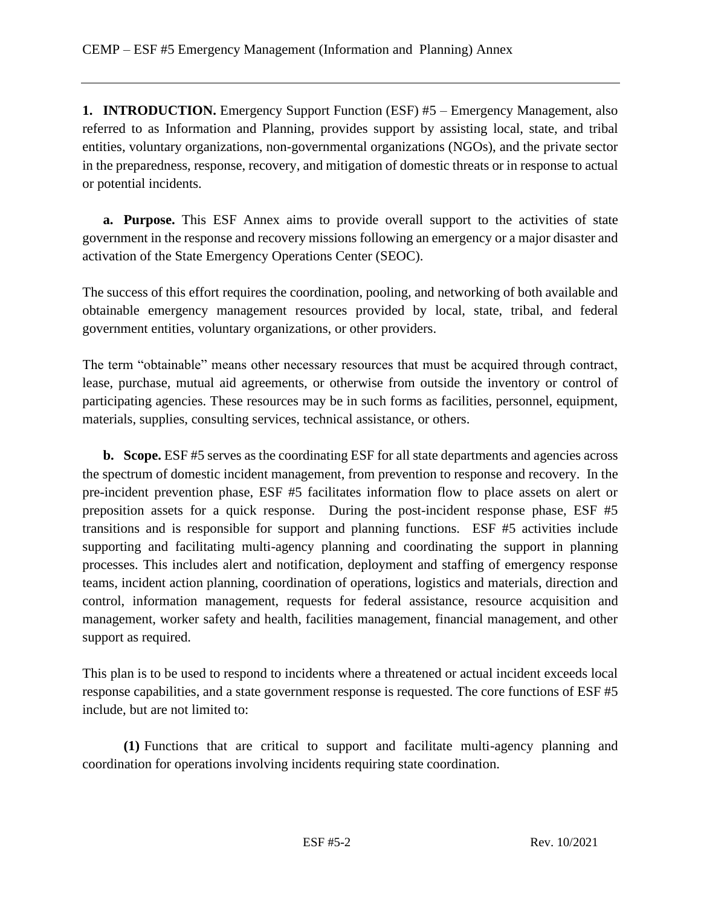**1. INTRODUCTION.** Emergency Support Function (ESF) #5 – Emergency Management, also referred to as Information and Planning, provides support by assisting local, state, and tribal entities, voluntary organizations, non-governmental organizations (NGOs), and the private sector in the preparedness, response, recovery, and mitigation of domestic threats or in response to actual or potential incidents.

**a. Purpose.** This ESF Annex aims to provide overall support to the activities of state government in the response and recovery missions following an emergency or a major disaster and activation of the State Emergency Operations Center (SEOC).

The success of this effort requires the coordination, pooling, and networking of both available and obtainable emergency management resources provided by local, state, tribal, and federal government entities, voluntary organizations, or other providers.

The term "obtainable" means other necessary resources that must be acquired through contract, lease, purchase, mutual aid agreements, or otherwise from outside the inventory or control of participating agencies. These resources may be in such forms as facilities, personnel, equipment, materials, supplies, consulting services, technical assistance, or others.

**b. Scope.** ESF #5 serves as the coordinating ESF for all state departments and agencies across the spectrum of domestic incident management, from prevention to response and recovery. In the pre-incident prevention phase, ESF #5 facilitates information flow to place assets on alert or preposition assets for a quick response. During the post-incident response phase, ESF #5 transitions and is responsible for support and planning functions. ESF #5 activities include supporting and facilitating multi-agency planning and coordinating the support in planning processes. This includes alert and notification, deployment and staffing of emergency response teams, incident action planning, coordination of operations, logistics and materials, direction and control, information management, requests for federal assistance, resource acquisition and management, worker safety and health, facilities management, financial management, and other support as required.

This plan is to be used to respond to incidents where a threatened or actual incident exceeds local response capabilities, and a state government response is requested. The core functions of ESF #5 include, but are not limited to:

**(1)** Functions that are critical to support and facilitate multi-agency planning and coordination for operations involving incidents requiring state coordination.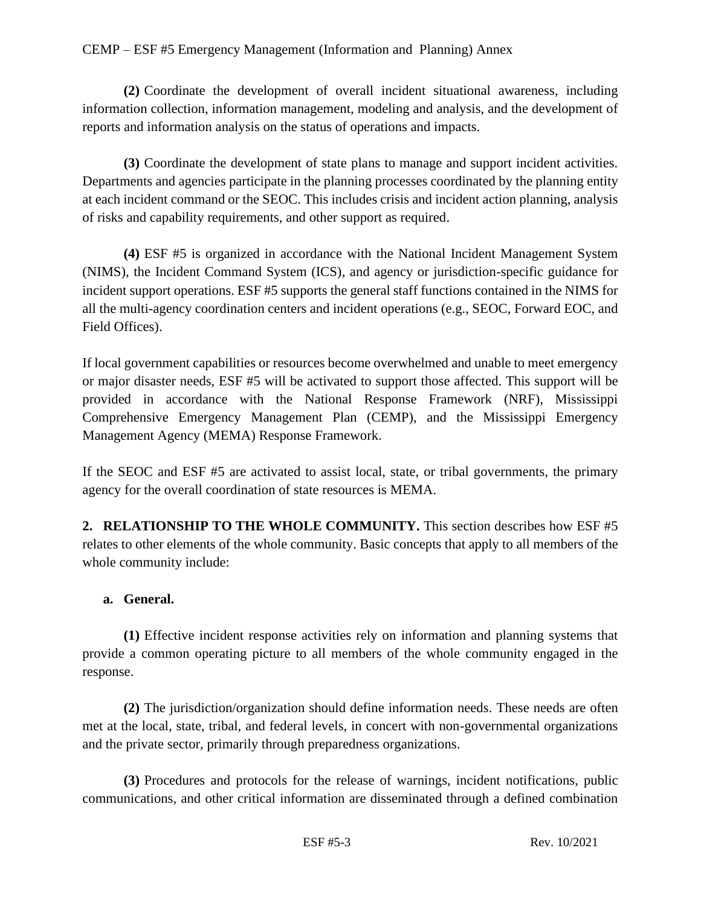**(2)** Coordinate the development of overall incident situational awareness, including information collection, information management, modeling and analysis, and the development of reports and information analysis on the status of operations and impacts.

**(3)** Coordinate the development of state plans to manage and support incident activities. Departments and agencies participate in the planning processes coordinated by the planning entity at each incident command or the SEOC. This includes crisis and incident action planning, analysis of risks and capability requirements, and other support as required.

**(4)** ESF #5 is organized in accordance with the National Incident Management System (NIMS), the Incident Command System (ICS), and agency or jurisdiction-specific guidance for incident support operations. ESF #5 supports the general staff functions contained in the NIMS for all the multi-agency coordination centers and incident operations (e.g., SEOC, Forward EOC, and Field Offices).

If local government capabilities or resources become overwhelmed and unable to meet emergency or major disaster needs, ESF #5 will be activated to support those affected. This support will be provided in accordance with the National Response Framework (NRF), Mississippi Comprehensive Emergency Management Plan (CEMP), and the Mississippi Emergency Management Agency (MEMA) Response Framework.

If the SEOC and ESF #5 are activated to assist local, state, or tribal governments, the primary agency for the overall coordination of state resources is MEMA.

**2. RELATIONSHIP TO THE WHOLE COMMUNITY.** This section describes how ESF #5 relates to other elements of the whole community. Basic concepts that apply to all members of the whole community include:

## **a. General.**

**(1)** Effective incident response activities rely on information and planning systems that provide a common operating picture to all members of the whole community engaged in the response.

**(2)** The jurisdiction/organization should define information needs. These needs are often met at the local, state, tribal, and federal levels, in concert with non-governmental organizations and the private sector, primarily through preparedness organizations.

**(3)** Procedures and protocols for the release of warnings, incident notifications, public communications, and other critical information are disseminated through a defined combination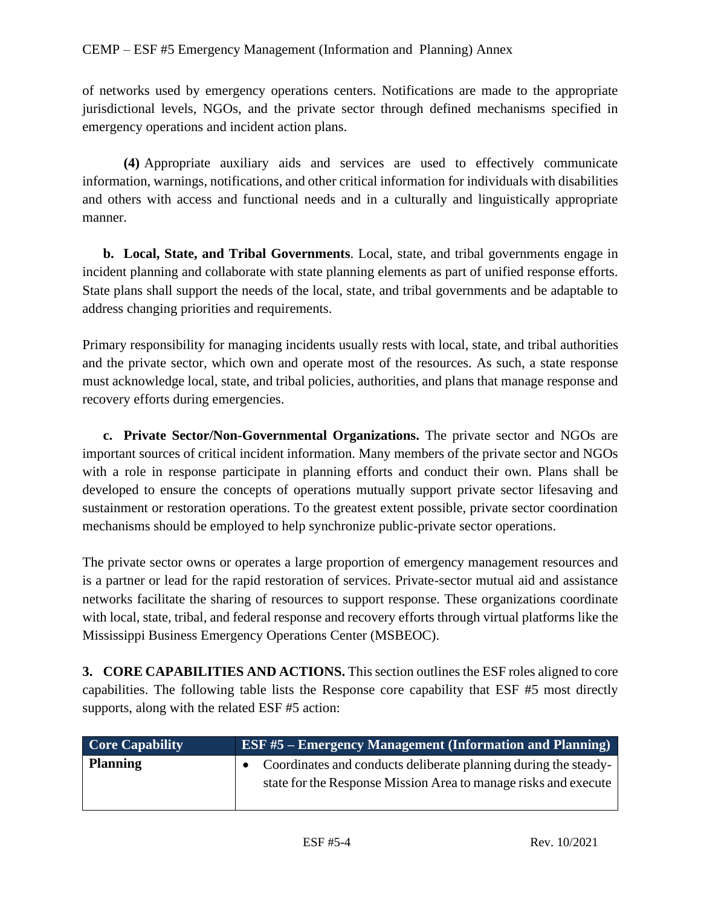of networks used by emergency operations centers. Notifications are made to the appropriate jurisdictional levels, NGOs, and the private sector through defined mechanisms specified in emergency operations and incident action plans.

**(4)** Appropriate auxiliary aids and services are used to effectively communicate information, warnings, notifications, and other critical information for individuals with disabilities and others with access and functional needs and in a culturally and linguistically appropriate manner.

**b. Local, State, and Tribal Governments**. Local, state, and tribal governments engage in incident planning and collaborate with state planning elements as part of unified response efforts. State plans shall support the needs of the local, state, and tribal governments and be adaptable to address changing priorities and requirements.

Primary responsibility for managing incidents usually rests with local, state, and tribal authorities and the private sector, which own and operate most of the resources. As such, a state response must acknowledge local, state, and tribal policies, authorities, and plans that manage response and recovery efforts during emergencies.

**c. Private Sector/Non-Governmental Organizations.** The private sector and NGOs are important sources of critical incident information. Many members of the private sector and NGOs with a role in response participate in planning efforts and conduct their own. Plans shall be developed to ensure the concepts of operations mutually support private sector lifesaving and sustainment or restoration operations. To the greatest extent possible, private sector coordination mechanisms should be employed to help synchronize public-private sector operations.

The private sector owns or operates a large proportion of emergency management resources and is a partner or lead for the rapid restoration of services. Private-sector mutual aid and assistance networks facilitate the sharing of resources to support response. These organizations coordinate with local, state, tribal, and federal response and recovery efforts through virtual platforms like the Mississippi Business Emergency Operations Center (MSBEOC).

**3. CORE CAPABILITIES AND ACTIONS.** This section outlines the ESF roles aligned to core capabilities. The following table lists the Response core capability that ESF #5 most directly supports, along with the related ESF #5 action:

| <b>Core Capability</b> | <b>ESF #5 – Emergency Management (Information and Planning)</b>                                                                    |
|------------------------|------------------------------------------------------------------------------------------------------------------------------------|
| <b>Planning</b>        | Coordinates and conducts deliberate planning during the steady-<br>state for the Response Mission Area to manage risks and execute |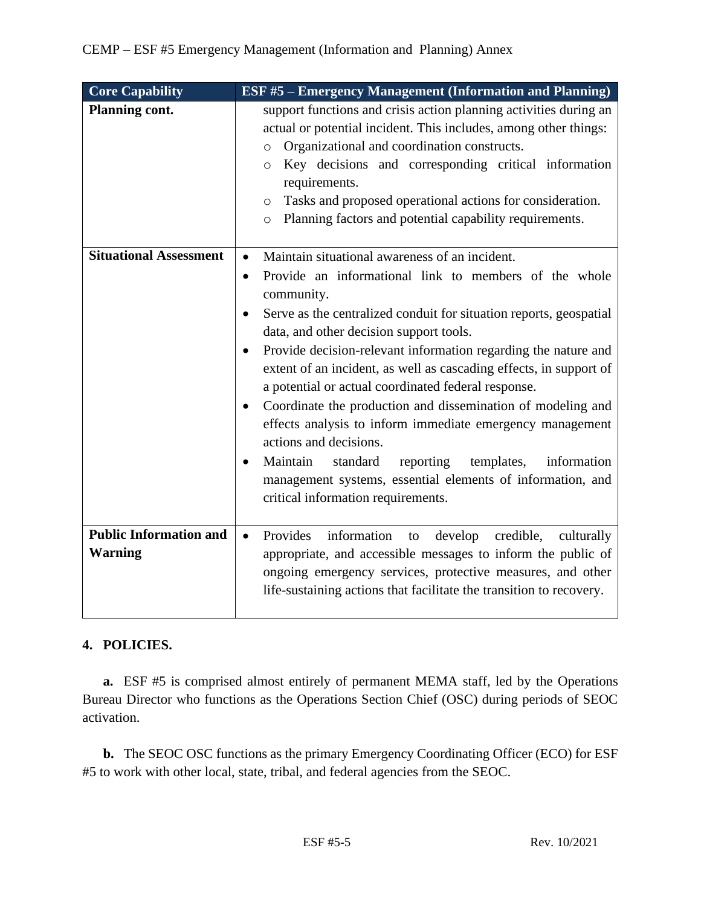| <b>Core Capability</b>                          | <b>ESF #5 – Emergency Management (Information and Planning)</b>                                                                                                                                                                                                                                                                                                                                                                                                                                                                                                                                                                                                                                                                                                                                                       |
|-------------------------------------------------|-----------------------------------------------------------------------------------------------------------------------------------------------------------------------------------------------------------------------------------------------------------------------------------------------------------------------------------------------------------------------------------------------------------------------------------------------------------------------------------------------------------------------------------------------------------------------------------------------------------------------------------------------------------------------------------------------------------------------------------------------------------------------------------------------------------------------|
| <b>Planning cont.</b>                           | support functions and crisis action planning activities during an<br>actual or potential incident. This includes, among other things:<br>Organizational and coordination constructs.<br>$\circ$<br>Key decisions and corresponding critical information<br>$\circ$<br>requirements.<br>Tasks and proposed operational actions for consideration.<br>$\circ$<br>Planning factors and potential capability requirements.<br>$\circ$                                                                                                                                                                                                                                                                                                                                                                                     |
| <b>Situational Assessment</b>                   | Maintain situational awareness of an incident.<br>$\bullet$<br>Provide an informational link to members of the whole<br>$\bullet$<br>community.<br>Serve as the centralized conduit for situation reports, geospatial<br>data, and other decision support tools.<br>Provide decision-relevant information regarding the nature and<br>extent of an incident, as well as cascading effects, in support of<br>a potential or actual coordinated federal response.<br>Coordinate the production and dissemination of modeling and<br>$\bullet$<br>effects analysis to inform immediate emergency management<br>actions and decisions.<br>Maintain<br>standard<br>reporting<br>templates,<br>information<br>$\bullet$<br>management systems, essential elements of information, and<br>critical information requirements. |
| <b>Public Information and</b><br><b>Warning</b> | Provides<br>information<br>to develop credible,<br>$\bullet$<br>culturally<br>appropriate, and accessible messages to inform the public of<br>ongoing emergency services, protective measures, and other<br>life-sustaining actions that facilitate the transition to recovery.                                                                                                                                                                                                                                                                                                                                                                                                                                                                                                                                       |

# **4. POLICIES.**

**a.** ESF #5 is comprised almost entirely of permanent MEMA staff, led by the Operations Bureau Director who functions as the Operations Section Chief (OSC) during periods of SEOC activation.

**b.** The SEOC OSC functions as the primary Emergency Coordinating Officer (ECO) for ESF #5 to work with other local, state, tribal, and federal agencies from the SEOC.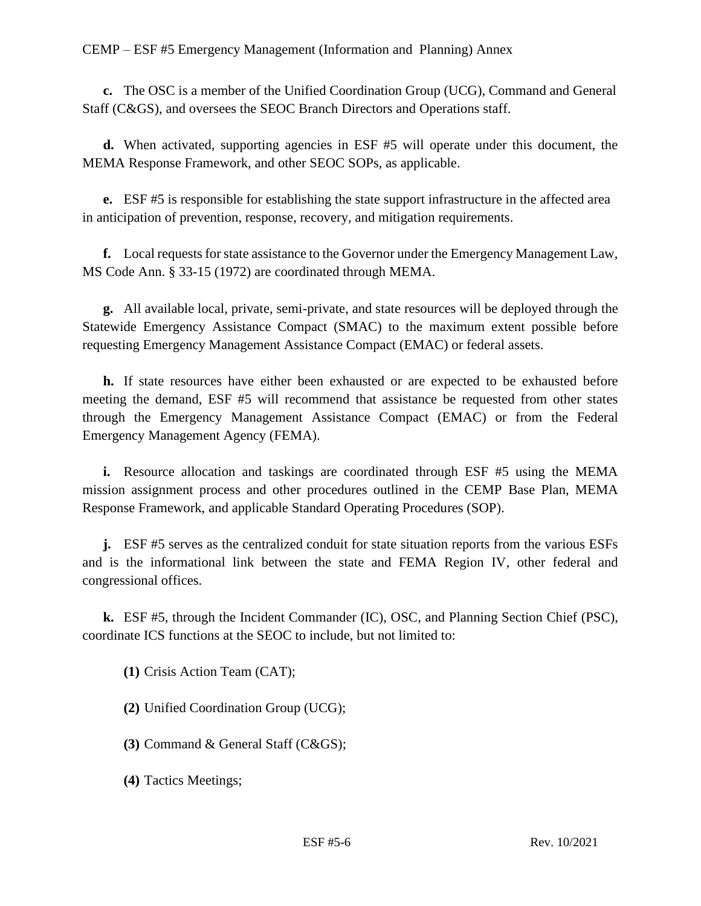**c.** The OSC is a member of the Unified Coordination Group (UCG), Command and General Staff (C&GS), and oversees the SEOC Branch Directors and Operations staff.

**d.** When activated, supporting agencies in ESF #5 will operate under this document, the MEMA Response Framework, and other SEOC SOPs, as applicable.

**e.** ESF #5 is responsible for establishing the state support infrastructure in the affected area in anticipation of prevention, response, recovery, and mitigation requirements.

**f.** Local requests for state assistance to the Governor under the Emergency Management Law, MS Code Ann. § 33-15 (1972) are coordinated through MEMA.

**g.** All available local, private, semi-private, and state resources will be deployed through the Statewide Emergency Assistance Compact (SMAC) to the maximum extent possible before requesting Emergency Management Assistance Compact (EMAC) or federal assets.

**h.** If state resources have either been exhausted or are expected to be exhausted before meeting the demand, ESF #5 will recommend that assistance be requested from other states through the Emergency Management Assistance Compact (EMAC) or from the Federal Emergency Management Agency (FEMA).

**i.** Resource allocation and taskings are coordinated through ESF #5 using the MEMA mission assignment process and other procedures outlined in the CEMP Base Plan, MEMA Response Framework, and applicable Standard Operating Procedures (SOP).

**j.** ESF #5 serves as the centralized conduit for state situation reports from the various ESFs and is the informational link between the state and FEMA Region IV, other federal and congressional offices.

**k.** ESF #5, through the Incident Commander (IC), OSC, and Planning Section Chief (PSC), coordinate ICS functions at the SEOC to include, but not limited to:

**(1)** Crisis Action Team (CAT);

**(2)** Unified Coordination Group (UCG);

**(3)** Command & General Staff (C&GS);

**(4)** Tactics Meetings;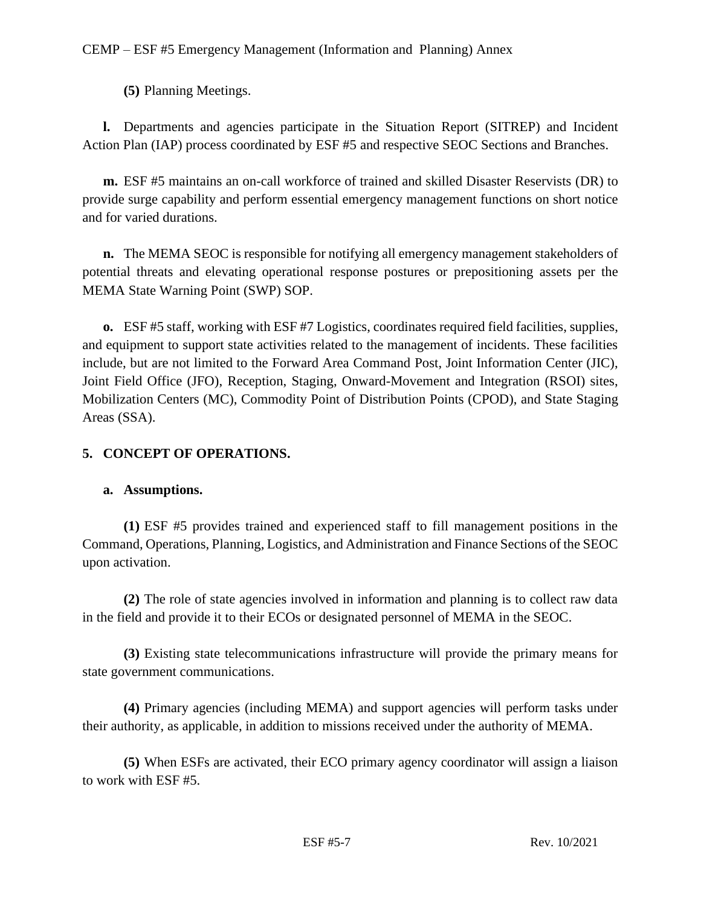**(5)** Planning Meetings.

**l.** Departments and agencies participate in the Situation Report (SITREP) and Incident Action Plan (IAP) process coordinated by ESF #5 and respective SEOC Sections and Branches.

**m.** ESF #5 maintains an on-call workforce of trained and skilled Disaster Reservists (DR) to provide surge capability and perform essential emergency management functions on short notice and for varied durations.

**n.** The MEMA SEOC is responsible for notifying all emergency management stakeholders of potential threats and elevating operational response postures or prepositioning assets per the MEMA State Warning Point (SWP) SOP.

**o.** ESF #5 staff, working with ESF #7 Logistics, coordinates required field facilities, supplies, and equipment to support state activities related to the management of incidents. These facilities include, but are not limited to the Forward Area Command Post, Joint Information Center (JIC), Joint Field Office (JFO), Reception, Staging, Onward-Movement and Integration (RSOI) sites, Mobilization Centers (MC), Commodity Point of Distribution Points (CPOD), and State Staging Areas (SSA).

# **5. CONCEPT OF OPERATIONS.**

# **a. Assumptions.**

**(1)** ESF #5 provides trained and experienced staff to fill management positions in the Command, Operations, Planning, Logistics, and Administration and Finance Sections of the SEOC upon activation.

**(2)** The role of state agencies involved in information and planning is to collect raw data in the field and provide it to their ECOs or designated personnel of MEMA in the SEOC.

**(3)** Existing state telecommunications infrastructure will provide the primary means for state government communications.

**(4)** Primary agencies (including MEMA) and support agencies will perform tasks under their authority, as applicable, in addition to missions received under the authority of MEMA.

**(5)** When ESFs are activated, their ECO primary agency coordinator will assign a liaison to work with ESF #5.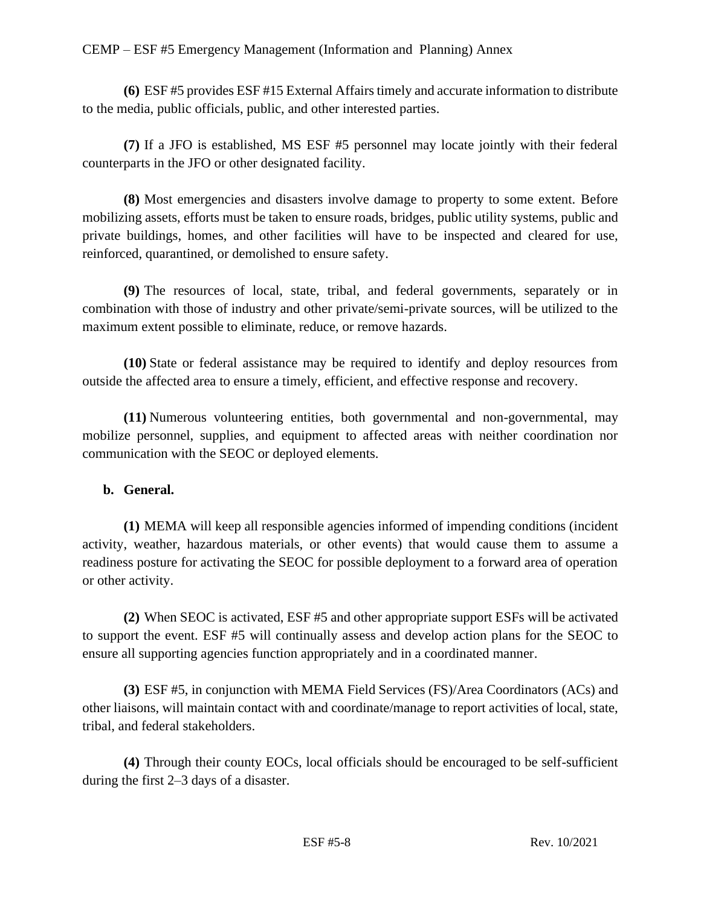**(6)** ESF #5 provides ESF #15 External Affairstimely and accurate information to distribute to the media, public officials, public, and other interested parties.

**(7)** If a JFO is established, MS ESF #5 personnel may locate jointly with their federal counterparts in the JFO or other designated facility.

**(8)** Most emergencies and disasters involve damage to property to some extent. Before mobilizing assets, efforts must be taken to ensure roads, bridges, public utility systems, public and private buildings, homes, and other facilities will have to be inspected and cleared for use, reinforced, quarantined, or demolished to ensure safety.

**(9)** The resources of local, state, tribal, and federal governments, separately or in combination with those of industry and other private/semi-private sources, will be utilized to the maximum extent possible to eliminate, reduce, or remove hazards.

**(10)** State or federal assistance may be required to identify and deploy resources from outside the affected area to ensure a timely, efficient, and effective response and recovery.

**(11)** Numerous volunteering entities, both governmental and non-governmental, may mobilize personnel, supplies, and equipment to affected areas with neither coordination nor communication with the SEOC or deployed elements.

## **b. General.**

**(1)** MEMA will keep all responsible agencies informed of impending conditions (incident activity, weather, hazardous materials, or other events) that would cause them to assume a readiness posture for activating the SEOC for possible deployment to a forward area of operation or other activity.

**(2)** When SEOC is activated, ESF #5 and other appropriate support ESFs will be activated to support the event. ESF #5 will continually assess and develop action plans for the SEOC to ensure all supporting agencies function appropriately and in a coordinated manner.

**(3)** ESF #5, in conjunction with MEMA Field Services (FS)/Area Coordinators (ACs) and other liaisons, will maintain contact with and coordinate/manage to report activities of local, state, tribal, and federal stakeholders.

**(4)** Through their county EOCs, local officials should be encouraged to be self-sufficient during the first 2–3 days of a disaster.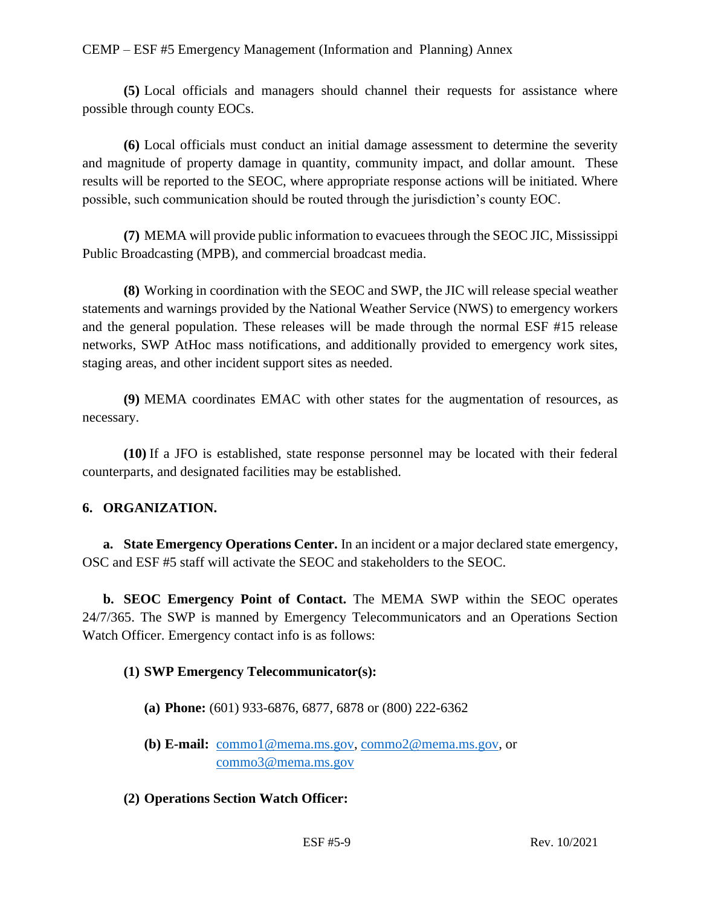**(5)** Local officials and managers should channel their requests for assistance where possible through county EOCs.

**(6)** Local officials must conduct an initial damage assessment to determine the severity and magnitude of property damage in quantity, community impact, and dollar amount. These results will be reported to the SEOC, where appropriate response actions will be initiated. Where possible, such communication should be routed through the jurisdiction's county EOC.

**(7)** MEMA will provide public information to evacuees through the SEOC JIC, Mississippi Public Broadcasting (MPB), and commercial broadcast media.

**(8)** Working in coordination with the SEOC and SWP, the JIC will release special weather statements and warnings provided by the National Weather Service (NWS) to emergency workers and the general population. These releases will be made through the normal ESF #15 release networks, SWP AtHoc mass notifications, and additionally provided to emergency work sites, staging areas, and other incident support sites as needed.

**(9)** MEMA coordinates EMAC with other states for the augmentation of resources, as necessary.

**(10)** If a JFO is established, state response personnel may be located with their federal counterparts, and designated facilities may be established.

## **6. ORGANIZATION.**

**a. State Emergency Operations Center.** In an incident or a major declared state emergency, OSC and ESF #5 staff will activate the SEOC and stakeholders to the SEOC.

**b. SEOC Emergency Point of Contact.** The MEMA SWP within the SEOC operates 24/7/365. The SWP is manned by Emergency Telecommunicators and an Operations Section Watch Officer. Emergency contact info is as follows:

## **(1) SWP Emergency Telecommunicator(s):**

- **(a) Phone:** (601) 933-6876, 6877, 6878 or (800) 222-6362
- **(b) E-mail:** [commo1@mema.ms.gov,](mailto:commo1@mema.ms.gov) [commo2@mema.ms.gov,](mailto:commo2@mema.ms.gov) or [commo3@mema.ms.gov](mailto:commo3@mema.ms.gov)
- **(2) Operations Section Watch Officer:**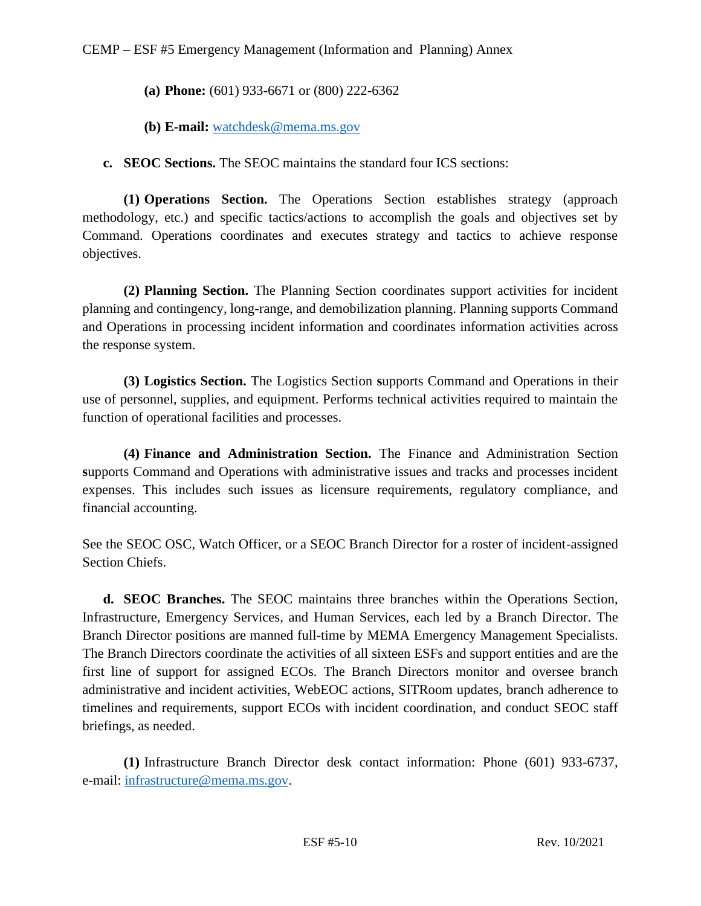- **(a) Phone:** (601) 933-6671 or (800) 222-6362
- **(b) E-mail:** [watchdesk@mema.ms.gov](mailto:watchdesk@mema.ms.gov)

**c. SEOC Sections.** The SEOC maintains the standard four ICS sections:

**(1) Operations Section.** The Operations Section establishes strategy (approach methodology, etc.) and specific tactics/actions to accomplish the goals and objectives set by Command. Operations coordinates and executes strategy and tactics to achieve response objectives.

**(2) Planning Section.** The Planning Section coordinates support activities for incident planning and contingency, long-range, and demobilization planning. Planning supports Command and Operations in processing incident information and coordinates information activities across the response system.

**(3) Logistics Section.** The Logistics Section **s**upports Command and Operations in their use of personnel, supplies, and equipment. Performs technical activities required to maintain the function of operational facilities and processes.

**(4) Finance and Administration Section.** The Finance and Administration Section **s**upports Command and Operations with administrative issues and tracks and processes incident expenses. This includes such issues as licensure requirements, regulatory compliance, and financial accounting.

See the SEOC OSC, Watch Officer, or a SEOC Branch Director for a roster of incident-assigned Section Chiefs.

**d. SEOC Branches.** The SEOC maintains three branches within the Operations Section, Infrastructure, Emergency Services, and Human Services, each led by a Branch Director. The Branch Director positions are manned full-time by MEMA Emergency Management Specialists. The Branch Directors coordinate the activities of all sixteen ESFs and support entities and are the first line of support for assigned ECOs. The Branch Directors monitor and oversee branch administrative and incident activities, WebEOC actions, SITRoom updates, branch adherence to timelines and requirements, support ECOs with incident coordination, and conduct SEOC staff briefings, as needed.

**(1)** Infrastructure Branch Director desk contact information: Phone (601) 933-6737, e-mail: [infrastructure@mema.ms.gov.](mailto:infrastructure@mema.ms.gov)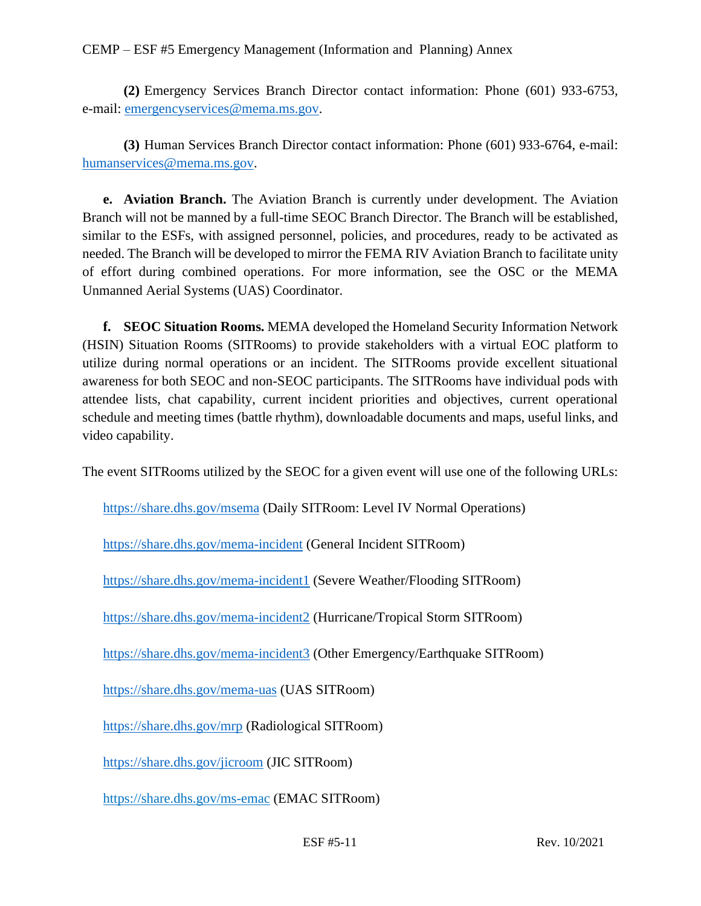**(2)** Emergency Services Branch Director contact information: Phone (601) 933-6753, e-mail: [emergencyservices@mema.ms.gov.](mailto:emergencyservices@mema.ms.gov)

**(3)** Human Services Branch Director contact information: Phone (601) 933-6764, e-mail: [humanservices@mema.ms.gov.](mailto:humanservices@mema.ms.gov)

**e. Aviation Branch.** The Aviation Branch is currently under development. The Aviation Branch will not be manned by a full-time SEOC Branch Director. The Branch will be established, similar to the ESFs, with assigned personnel, policies, and procedures, ready to be activated as needed. The Branch will be developed to mirror the FEMA RIV Aviation Branch to facilitate unity of effort during combined operations. For more information, see the OSC or the MEMA Unmanned Aerial Systems (UAS) Coordinator.

**f. SEOC Situation Rooms.** MEMA developed the Homeland Security Information Network (HSIN) Situation Rooms (SITRooms) to provide stakeholders with a virtual EOC platform to utilize during normal operations or an incident. The SITRooms provide excellent situational awareness for both SEOC and non-SEOC participants. The SITRooms have individual pods with attendee lists, chat capability, current incident priorities and objectives, current operational schedule and meeting times (battle rhythm), downloadable documents and maps, useful links, and video capability.

The event SITRooms utilized by the SEOC for a given event will use one of the following URLs:

<https://share.dhs.gov/msema> (Daily SITRoom: Level IV Normal Operations)

<https://share.dhs.gov/mema-incident> (General Incident SITRoom)

<https://share.dhs.gov/mema-incident1> (Severe Weather/Flooding SITRoom)

<https://share.dhs.gov/mema-incident2> (Hurricane/Tropical Storm SITRoom)

<https://share.dhs.gov/mema-incident3> (Other Emergency/Earthquake SITRoom)

<https://share.dhs.gov/mema-uas> (UAS SITRoom)

<https://share.dhs.gov/mrp> (Radiological SITRoom)

<https://share.dhs.gov/jicroom> (JIC SITRoom)

<https://share.dhs.gov/ms-emac> (EMAC SITRoom)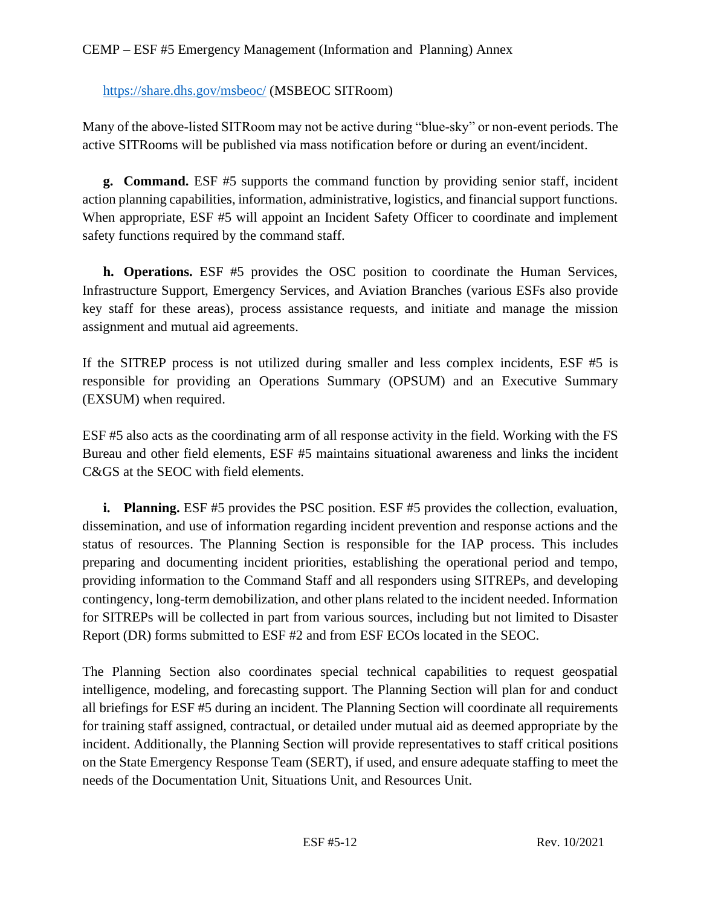## <https://share.dhs.gov/msbeoc/> (MSBEOC SITRoom)

Many of the above-listed SITRoom may not be active during "blue-sky" or non-event periods. The active SITRooms will be published via mass notification before or during an event/incident.

**g. Command.** ESF #5 supports the command function by providing senior staff, incident action planning capabilities, information, administrative, logistics, and financial support functions. When appropriate, ESF #5 will appoint an Incident Safety Officer to coordinate and implement safety functions required by the command staff.

**h. Operations.** ESF #5 provides the OSC position to coordinate the Human Services, Infrastructure Support, Emergency Services, and Aviation Branches (various ESFs also provide key staff for these areas), process assistance requests, and initiate and manage the mission assignment and mutual aid agreements.

If the SITREP process is not utilized during smaller and less complex incidents, ESF #5 is responsible for providing an Operations Summary (OPSUM) and an Executive Summary (EXSUM) when required.

ESF #5 also acts as the coordinating arm of all response activity in the field. Working with the FS Bureau and other field elements, ESF #5 maintains situational awareness and links the incident C&GS at the SEOC with field elements.

**i. Planning.** ESF #5 provides the PSC position. ESF #5 provides the collection, evaluation, dissemination, and use of information regarding incident prevention and response actions and the status of resources. The Planning Section is responsible for the IAP process. This includes preparing and documenting incident priorities, establishing the operational period and tempo, providing information to the Command Staff and all responders using SITREPs, and developing contingency, long-term demobilization, and other plans related to the incident needed. Information for SITREPs will be collected in part from various sources, including but not limited to Disaster Report (DR) forms submitted to ESF #2 and from ESF ECOs located in the SEOC.

The Planning Section also coordinates special technical capabilities to request geospatial intelligence, modeling, and forecasting support. The Planning Section will plan for and conduct all briefings for ESF #5 during an incident. The Planning Section will coordinate all requirements for training staff assigned, contractual, or detailed under mutual aid as deemed appropriate by the incident. Additionally, the Planning Section will provide representatives to staff critical positions on the State Emergency Response Team (SERT), if used, and ensure adequate staffing to meet the needs of the Documentation Unit, Situations Unit, and Resources Unit.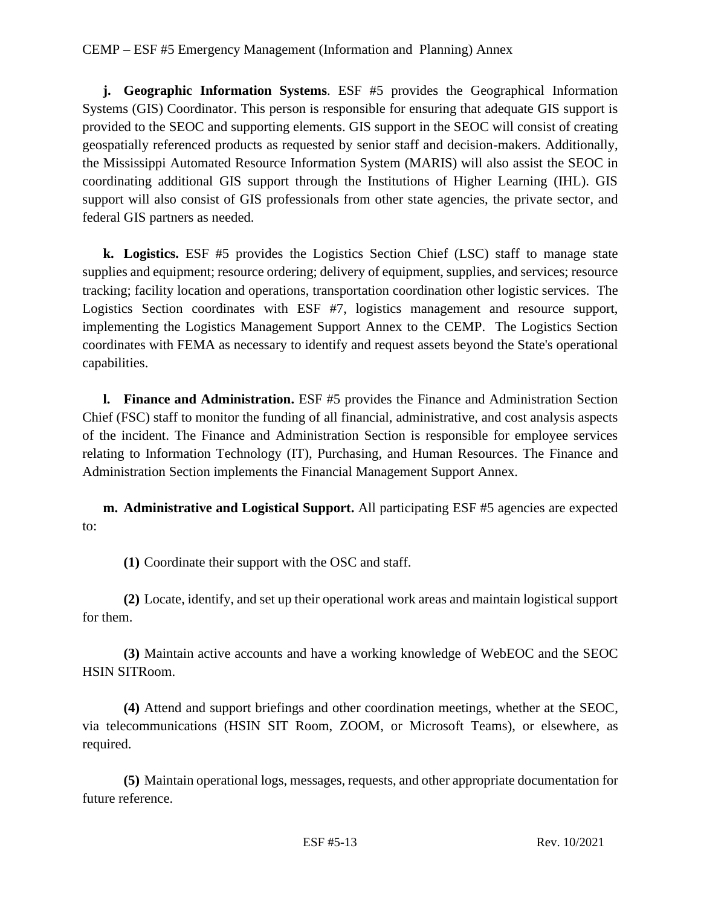**j. Geographic Information Systems**. ESF #5 provides the Geographical Information Systems (GIS) Coordinator. This person is responsible for ensuring that adequate GIS support is provided to the SEOC and supporting elements. GIS support in the SEOC will consist of creating geospatially referenced products as requested by senior staff and decision-makers. Additionally, the Mississippi Automated Resource Information System (MARIS) will also assist the SEOC in coordinating additional GIS support through the Institutions of Higher Learning (IHL). GIS support will also consist of GIS professionals from other state agencies, the private sector, and federal GIS partners as needed.

**k. Logistics.** ESF #5 provides the Logistics Section Chief (LSC) staff to manage state supplies and equipment; resource ordering; delivery of equipment, supplies, and services; resource tracking; facility location and operations, transportation coordination other logistic services. The Logistics Section coordinates with ESF #7, logistics management and resource support, implementing the Logistics Management Support Annex to the CEMP. The Logistics Section coordinates with FEMA as necessary to identify and request assets beyond the State's operational capabilities.

**l. Finance and Administration.** ESF #5 provides the Finance and Administration Section Chief (FSC) staff to monitor the funding of all financial, administrative, and cost analysis aspects of the incident. The Finance and Administration Section is responsible for employee services relating to Information Technology (IT), Purchasing, and Human Resources. The Finance and Administration Section implements the Financial Management Support Annex.

**m. Administrative and Logistical Support.** All participating ESF #5 agencies are expected to:

**(1)** Coordinate their support with the OSC and staff.

**(2)** Locate, identify, and set up their operational work areas and maintain logistical support for them.

**(3)** Maintain active accounts and have a working knowledge of WebEOC and the SEOC HSIN SITRoom.

**(4)** Attend and support briefings and other coordination meetings, whether at the SEOC, via telecommunications (HSIN SIT Room, ZOOM, or Microsoft Teams), or elsewhere, as required.

**(5)** Maintain operational logs, messages, requests, and other appropriate documentation for future reference.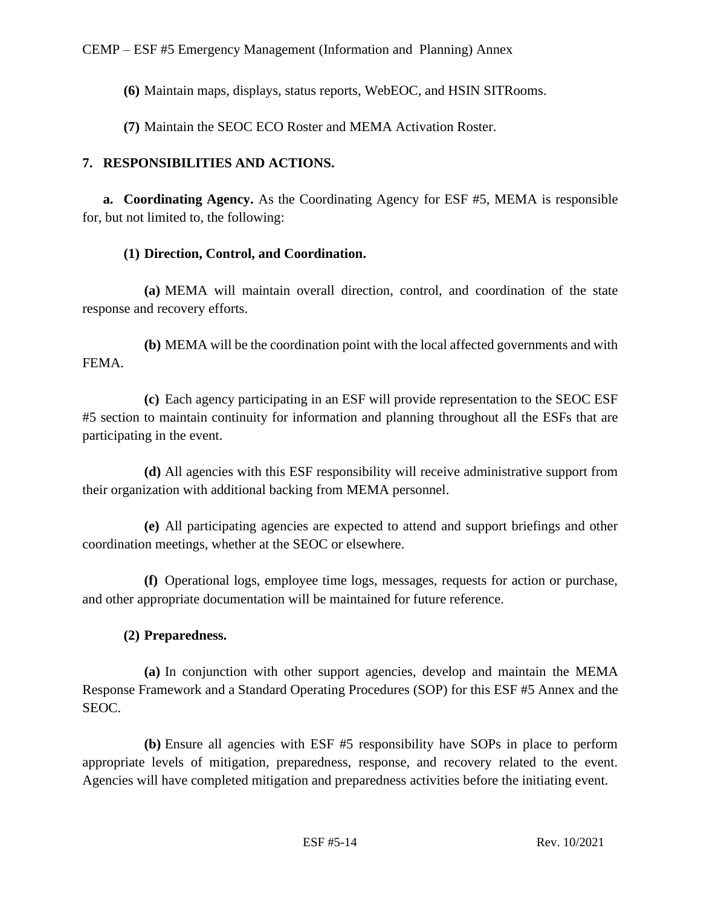**(6)** Maintain maps, displays, status reports, WebEOC, and HSIN SITRooms.

**(7)** Maintain the SEOC ECO Roster and MEMA Activation Roster.

# **7. RESPONSIBILITIES AND ACTIONS.**

**a. Coordinating Agency.** As the Coordinating Agency for ESF #5, MEMA is responsible for, but not limited to, the following:

# **(1) Direction, Control, and Coordination.**

**(a)** MEMA will maintain overall direction, control, and coordination of the state response and recovery efforts.

**(b)** MEMA will be the coordination point with the local affected governments and with FEMA.

**(c)** Each agency participating in an ESF will provide representation to the SEOC ESF #5 section to maintain continuity for information and planning throughout all the ESFs that are participating in the event.

**(d)** All agencies with this ESF responsibility will receive administrative support from their organization with additional backing from MEMA personnel.

**(e)** All participating agencies are expected to attend and support briefings and other coordination meetings, whether at the SEOC or elsewhere.

**(f)** Operational logs, employee time logs, messages, requests for action or purchase, and other appropriate documentation will be maintained for future reference.

# **(2) Preparedness.**

**(a)** In conjunction with other support agencies, develop and maintain the MEMA Response Framework and a Standard Operating Procedures (SOP) for this ESF #5 Annex and the SEOC.

**(b)** Ensure all agencies with ESF #5 responsibility have SOPs in place to perform appropriate levels of mitigation, preparedness, response, and recovery related to the event. Agencies will have completed mitigation and preparedness activities before the initiating event.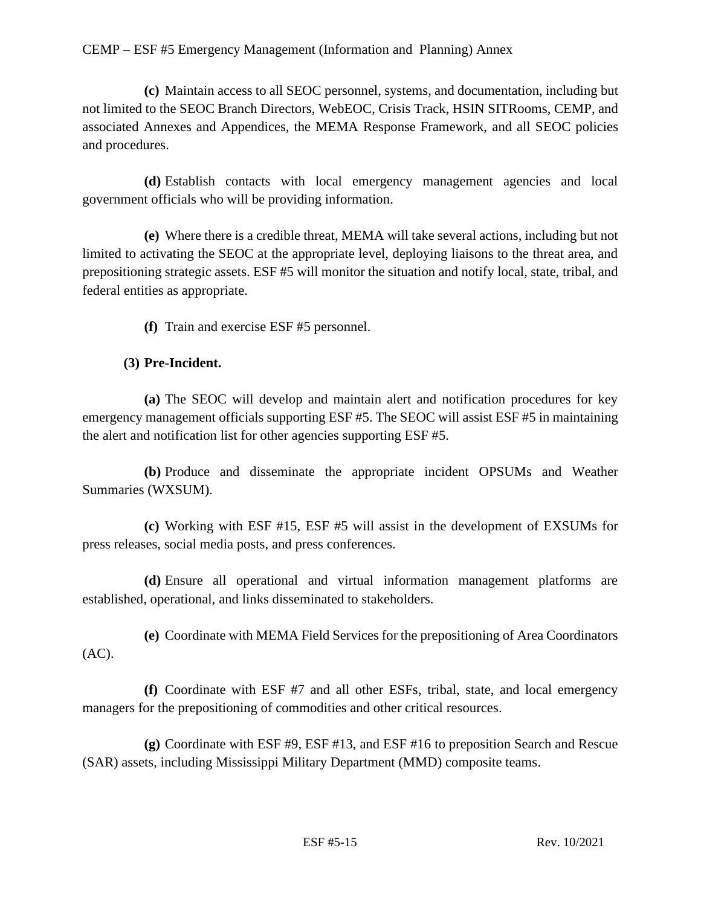**(c)** Maintain access to all SEOC personnel, systems, and documentation, including but not limited to the SEOC Branch Directors, WebEOC, Crisis Track, HSIN SITRooms, CEMP, and associated Annexes and Appendices, the MEMA Response Framework, and all SEOC policies and procedures.

**(d)** Establish contacts with local emergency management agencies and local government officials who will be providing information.

**(e)** Where there is a credible threat, MEMA will take several actions, including but not limited to activating the SEOC at the appropriate level, deploying liaisons to the threat area, and prepositioning strategic assets. ESF #5 will monitor the situation and notify local, state, tribal, and federal entities as appropriate.

**(f)** Train and exercise ESF #5 personnel.

#### **(3) Pre-Incident.**

**(a)** The SEOC will develop and maintain alert and notification procedures for key emergency management officials supporting ESF #5. The SEOC will assist ESF #5 in maintaining the alert and notification list for other agencies supporting ESF #5.

**(b)** Produce and disseminate the appropriate incident OPSUMs and Weather Summaries (WXSUM).

**(c)** Working with ESF #15, ESF #5 will assist in the development of EXSUMs for press releases, social media posts, and press conferences.

**(d)** Ensure all operational and virtual information management platforms are established, operational, and links disseminated to stakeholders.

**(e)** Coordinate with MEMA Field Services for the prepositioning of Area Coordinators (AC).

**(f)** Coordinate with ESF #7 and all other ESFs, tribal, state, and local emergency managers for the prepositioning of commodities and other critical resources.

**(g)** Coordinate with ESF #9, ESF #13, and ESF #16 to preposition Search and Rescue (SAR) assets, including Mississippi Military Department (MMD) composite teams.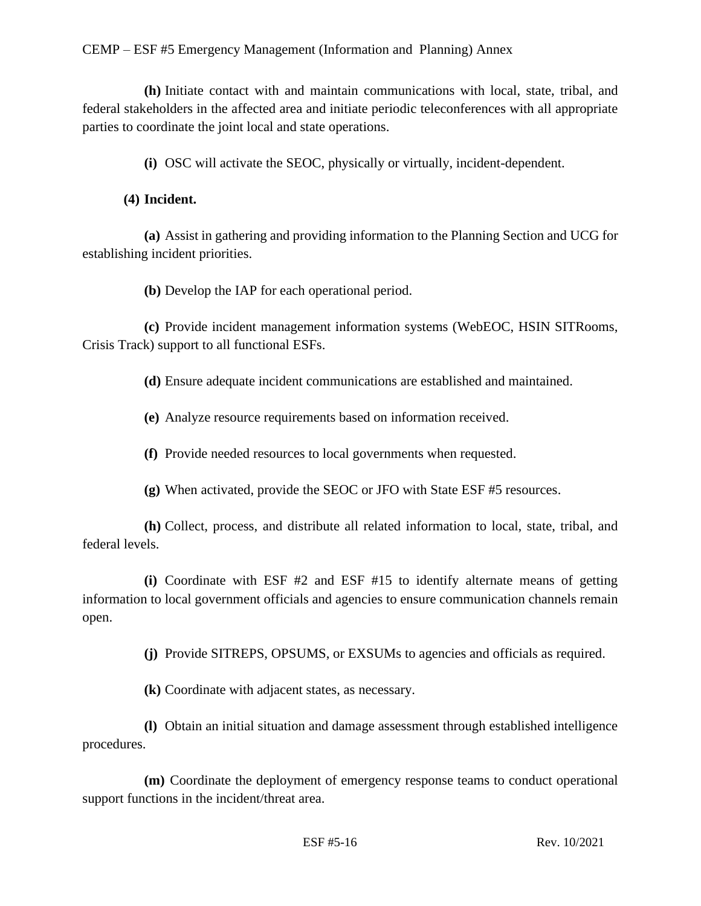**(h)** Initiate contact with and maintain communications with local, state, tribal, and federal stakeholders in the affected area and initiate periodic teleconferences with all appropriate parties to coordinate the joint local and state operations.

**(i)** OSC will activate the SEOC, physically or virtually, incident-dependent.

## **(4) Incident.**

**(a)** Assist in gathering and providing information to the Planning Section and UCG for establishing incident priorities.

**(b)** Develop the IAP for each operational period.

**(c)** Provide incident management information systems (WebEOC, HSIN SITRooms, Crisis Track) support to all functional ESFs.

**(d)** Ensure adequate incident communications are established and maintained.

**(e)** Analyze resource requirements based on information received.

**(f)** Provide needed resources to local governments when requested.

**(g)** When activated, provide the SEOC or JFO with State ESF #5 resources.

**(h)** Collect, process, and distribute all related information to local, state, tribal, and federal levels.

**(i)** Coordinate with ESF #2 and ESF #15 to identify alternate means of getting information to local government officials and agencies to ensure communication channels remain open.

**(j)** Provide SITREPS, OPSUMS, or EXSUMs to agencies and officials as required.

**(k)** Coordinate with adjacent states, as necessary.

**(l)** Obtain an initial situation and damage assessment through established intelligence procedures.

**(m)** Coordinate the deployment of emergency response teams to conduct operational support functions in the incident/threat area.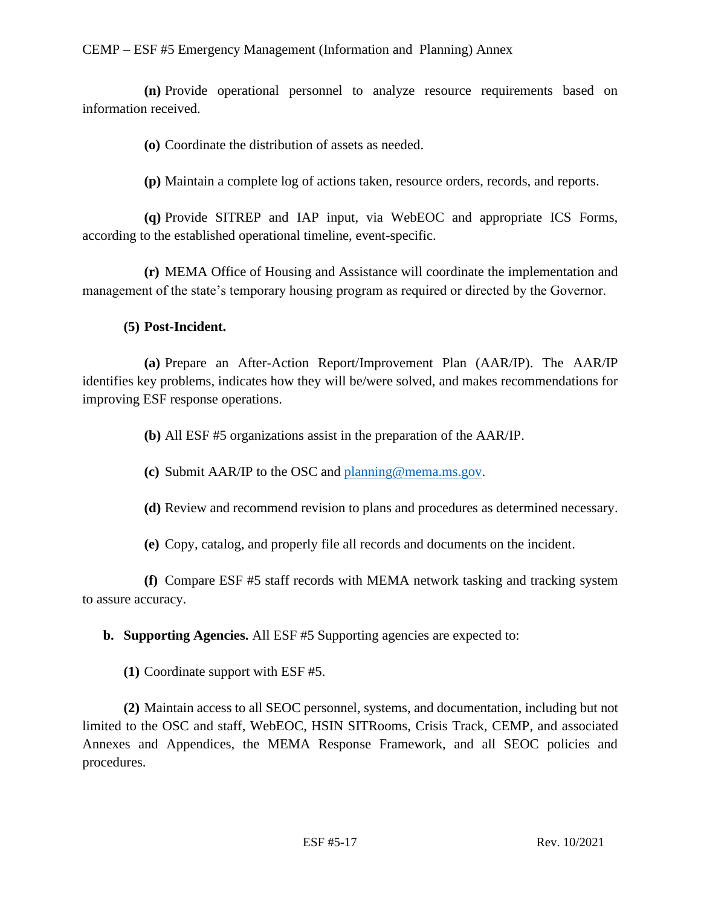**(n)** Provide operational personnel to analyze resource requirements based on information received.

**(o)** Coordinate the distribution of assets as needed.

**(p)** Maintain a complete log of actions taken, resource orders, records, and reports.

**(q)** Provide SITREP and IAP input, via WebEOC and appropriate ICS Forms, according to the established operational timeline, event-specific.

**(r)** MEMA Office of Housing and Assistance will coordinate the implementation and management of the state's temporary housing program as required or directed by the Governor.

#### **(5) Post-Incident.**

**(a)** Prepare an After-Action Report/Improvement Plan (AAR/IP). The AAR/IP identifies key problems, indicates how they will be/were solved, and makes recommendations for improving ESF response operations.

**(b)** All ESF #5 organizations assist in the preparation of the AAR/IP.

**(c)** Submit AAR/IP to the OSC and [planning@mema.ms.gov.](mailto:planning@mema.ms.gov)

**(d)** Review and recommend revision to plans and procedures as determined necessary.

**(e)** Copy, catalog, and properly file all records and documents on the incident.

**(f)** Compare ESF #5 staff records with MEMA network tasking and tracking system to assure accuracy.

**b. Supporting Agencies.** All ESF #5 Supporting agencies are expected to:

**(1)** Coordinate support with ESF #5.

**(2)** Maintain access to all SEOC personnel, systems, and documentation, including but not limited to the OSC and staff, WebEOC, HSIN SITRooms, Crisis Track, CEMP, and associated Annexes and Appendices, the MEMA Response Framework, and all SEOC policies and procedures.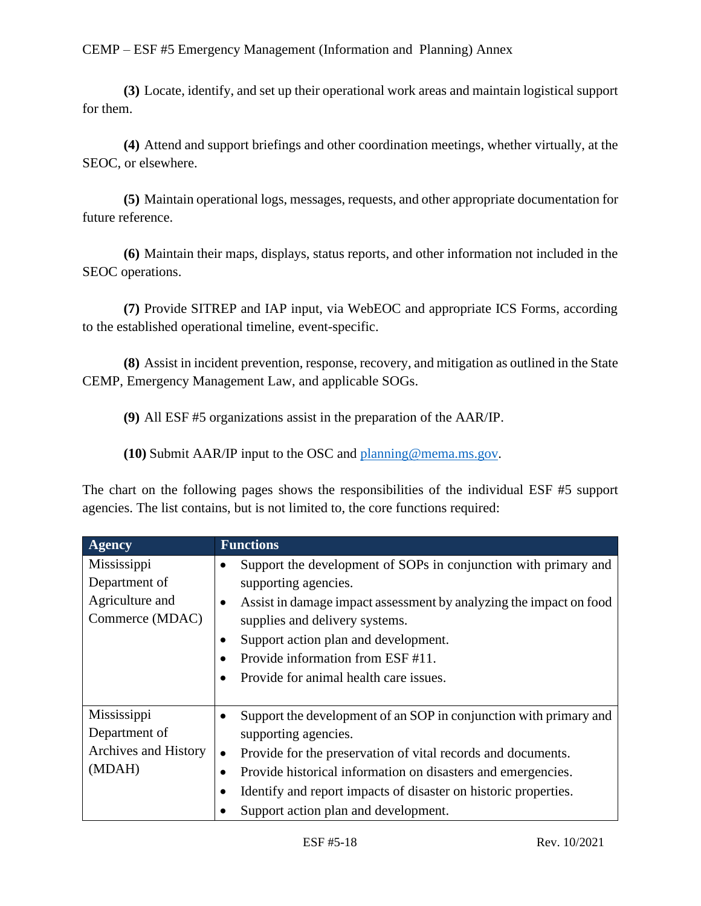**(3)** Locate, identify, and set up their operational work areas and maintain logistical support for them.

**(4)** Attend and support briefings and other coordination meetings, whether virtually, at the SEOC, or elsewhere.

**(5)** Maintain operational logs, messages, requests, and other appropriate documentation for future reference.

**(6)** Maintain their maps, displays, status reports, and other information not included in the SEOC operations.

**(7)** Provide SITREP and IAP input, via WebEOC and appropriate ICS Forms, according to the established operational timeline, event-specific.

**(8)** Assist in incident prevention, response, recovery, and mitigation as outlined in the State CEMP, Emergency Management Law, and applicable SOGs.

**(9)** All ESF #5 organizations assist in the preparation of the AAR/IP.

**(10)** Submit AAR/IP input to the OSC and [planning@mema.ms.gov.](mailto:planning@mema.ms.gov)

The chart on the following pages shows the responsibilities of the individual ESF #5 support agencies. The list contains, but is not limited to, the core functions required:

| <b>Agency</b>                                                      | <b>Functions</b>                                                                                                                                                                                                                                                                                                                                               |
|--------------------------------------------------------------------|----------------------------------------------------------------------------------------------------------------------------------------------------------------------------------------------------------------------------------------------------------------------------------------------------------------------------------------------------------------|
| Mississippi<br>Department of<br>Agriculture and<br>Commerce (MDAC) | Support the development of SOPs in conjunction with primary and<br>supporting agencies.<br>Assist in damage impact assessment by analyzing the impact on food<br>$\bullet$<br>supplies and delivery systems.<br>Support action plan and development.<br>٠<br>Provide information from ESF #11.<br>$\bullet$<br>Provide for animal health care issues.          |
| Mississippi<br>Department of<br>Archives and History<br>(MDAH)     | Support the development of an SOP in conjunction with primary and<br>$\bullet$<br>supporting agencies.<br>Provide for the preservation of vital records and documents.<br>$\bullet$<br>Provide historical information on disasters and emergencies.<br>Identify and report impacts of disaster on historic properties.<br>Support action plan and development. |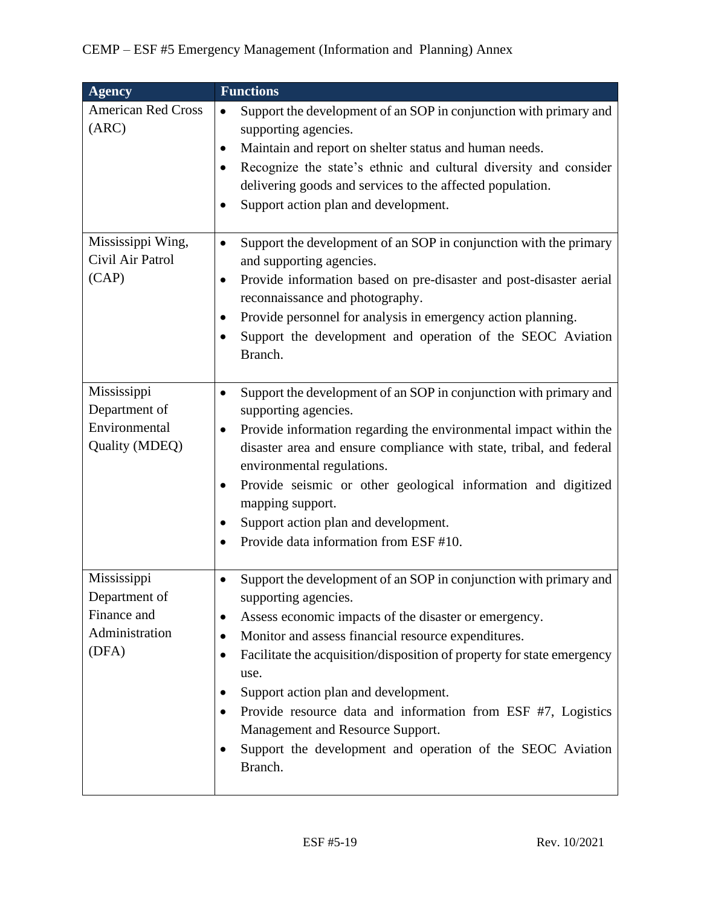| <b>Agency</b>                                                          | <b>Functions</b>                                                                                                                                                                                                                                                                                                                                                                                                                                                                                                                           |
|------------------------------------------------------------------------|--------------------------------------------------------------------------------------------------------------------------------------------------------------------------------------------------------------------------------------------------------------------------------------------------------------------------------------------------------------------------------------------------------------------------------------------------------------------------------------------------------------------------------------------|
| <b>American Red Cross</b><br>(ARC)                                     | Support the development of an SOP in conjunction with primary and<br>supporting agencies.<br>Maintain and report on shelter status and human needs.<br>$\bullet$<br>Recognize the state's ethnic and cultural diversity and consider<br>$\bullet$<br>delivering goods and services to the affected population.<br>Support action plan and development.                                                                                                                                                                                     |
| Mississippi Wing,<br>Civil Air Patrol<br>(CAP)                         | Support the development of an SOP in conjunction with the primary<br>$\bullet$<br>and supporting agencies.<br>Provide information based on pre-disaster and post-disaster aerial<br>٠<br>reconnaissance and photography.<br>Provide personnel for analysis in emergency action planning.<br>Support the development and operation of the SEOC Aviation<br>Branch.                                                                                                                                                                          |
| Mississippi<br>Department of<br>Environmental<br>Quality (MDEQ)        | Support the development of an SOP in conjunction with primary and<br>supporting agencies.<br>Provide information regarding the environmental impact within the<br>٠<br>disaster area and ensure compliance with state, tribal, and federal<br>environmental regulations.<br>Provide seismic or other geological information and digitized<br>mapping support.<br>Support action plan and development.<br>Provide data information from ESF #10.                                                                                            |
| Mississippi<br>Department of<br>Finance and<br>Administration<br>(DFA) | Support the development of an SOP in conjunction with primary and<br>$\bullet$<br>supporting agencies.<br>Assess economic impacts of the disaster or emergency.<br>Monitor and assess financial resource expenditures.<br>Facilitate the acquisition/disposition of property for state emergency<br>$\bullet$<br>use.<br>Support action plan and development.<br>Provide resource data and information from ESF #7, Logistics<br>Management and Resource Support.<br>Support the development and operation of the SEOC Aviation<br>Branch. |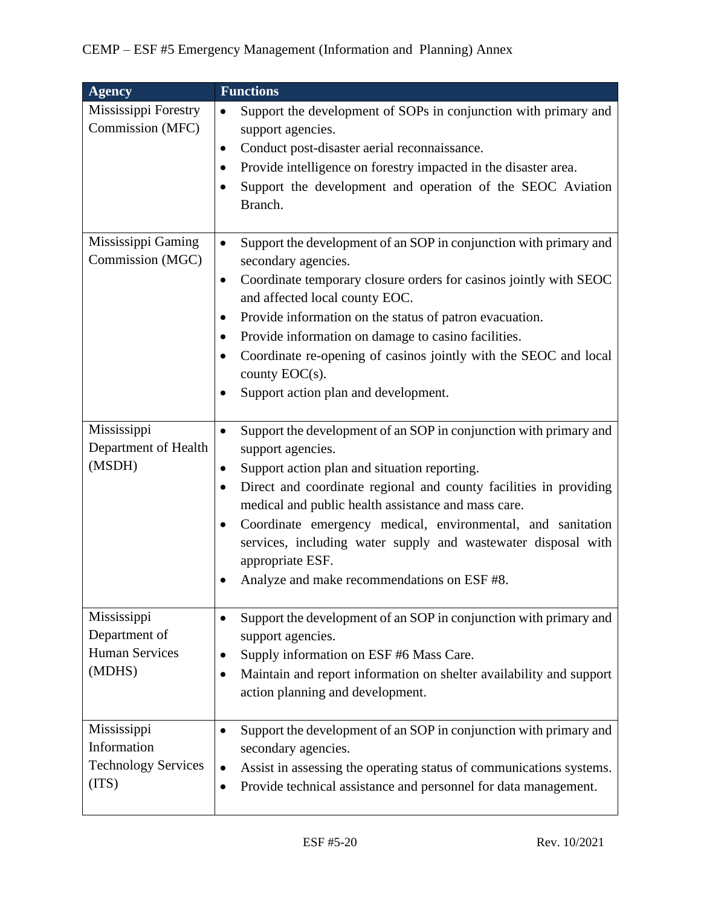| <b>Agency</b>                                                     | <b>Functions</b>                                                                                                                                                                                                                                                                                                                                                                                                                                                                                    |
|-------------------------------------------------------------------|-----------------------------------------------------------------------------------------------------------------------------------------------------------------------------------------------------------------------------------------------------------------------------------------------------------------------------------------------------------------------------------------------------------------------------------------------------------------------------------------------------|
| Mississippi Forestry<br>Commission (MFC)                          | Support the development of SOPs in conjunction with primary and<br>$\bullet$<br>support agencies.<br>Conduct post-disaster aerial reconnaissance.<br>٠<br>Provide intelligence on forestry impacted in the disaster area.<br>Support the development and operation of the SEOC Aviation<br>Branch.                                                                                                                                                                                                  |
| Mississippi Gaming<br>Commission (MGC)                            | Support the development of an SOP in conjunction with primary and<br>$\bullet$<br>secondary agencies.<br>Coordinate temporary closure orders for casinos jointly with SEOC<br>$\bullet$<br>and affected local county EOC.<br>Provide information on the status of patron evacuation.<br>٠<br>Provide information on damage to casino facilities.<br>٠<br>Coordinate re-opening of casinos jointly with the SEOC and local<br>$\bullet$<br>county $EOC(s)$ .<br>Support action plan and development. |
| Mississippi<br>Department of Health<br>(MSDH)                     | Support the development of an SOP in conjunction with primary and<br>$\bullet$<br>support agencies.<br>Support action plan and situation reporting.<br>٠<br>Direct and coordinate regional and county facilities in providing<br>٠<br>medical and public health assistance and mass care.<br>Coordinate emergency medical, environmental, and sanitation<br>services, including water supply and wastewater disposal with<br>appropriate ESF.<br>Analyze and make recommendations on ESF #8.        |
| Mississippi<br>Department of<br><b>Human Services</b><br>(MDHS)   | Support the development of an SOP in conjunction with primary and<br>support agencies.<br>Supply information on ESF #6 Mass Care.<br>Maintain and report information on shelter availability and support<br>action planning and development.                                                                                                                                                                                                                                                        |
| Mississippi<br>Information<br><b>Technology Services</b><br>(TTS) | Support the development of an SOP in conjunction with primary and<br>secondary agencies.<br>Assist in assessing the operating status of communications systems.<br>Provide technical assistance and personnel for data management.                                                                                                                                                                                                                                                                  |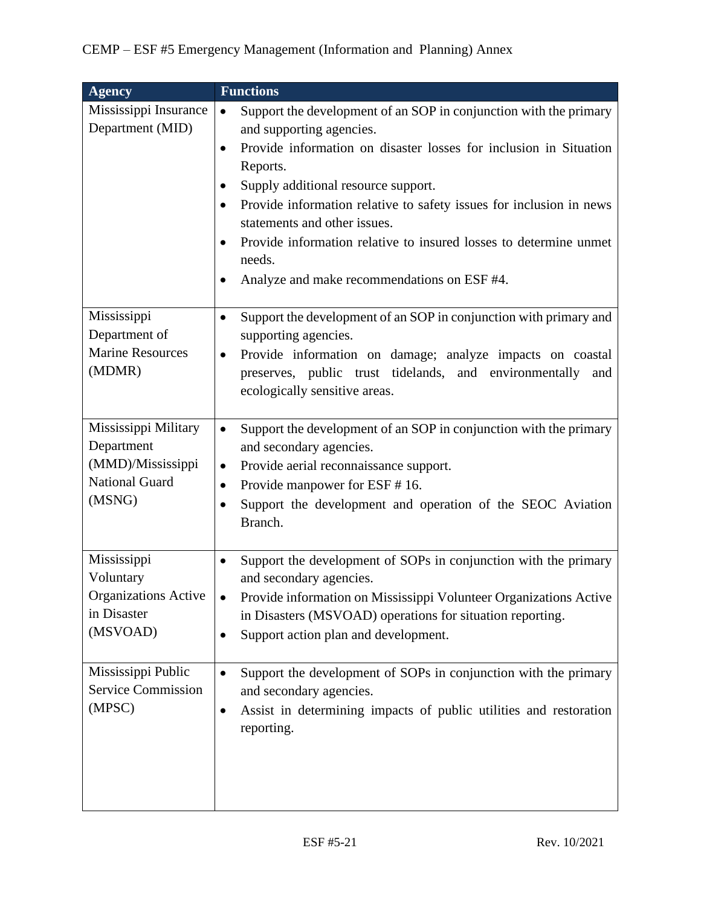| <b>Agency</b>                                                                              | <b>Functions</b>                                                                                                                                                                                                                                                                                                                                                                                                                                                                     |
|--------------------------------------------------------------------------------------------|--------------------------------------------------------------------------------------------------------------------------------------------------------------------------------------------------------------------------------------------------------------------------------------------------------------------------------------------------------------------------------------------------------------------------------------------------------------------------------------|
| Mississippi Insurance<br>Department (MID)                                                  | Support the development of an SOP in conjunction with the primary<br>$\bullet$<br>and supporting agencies.<br>Provide information on disaster losses for inclusion in Situation<br>$\bullet$<br>Reports.<br>Supply additional resource support.<br>Provide information relative to safety issues for inclusion in news<br>statements and other issues.<br>Provide information relative to insured losses to determine unmet<br>needs.<br>Analyze and make recommendations on ESF #4. |
| Mississippi<br>Department of<br><b>Marine Resources</b><br>(MDMR)                          | Support the development of an SOP in conjunction with primary and<br>٠<br>supporting agencies.<br>Provide information on damage; analyze impacts on coastal<br>$\bullet$<br>preserves, public trust tidelands, and environmentally<br>and<br>ecologically sensitive areas.                                                                                                                                                                                                           |
| Mississippi Military<br>Department<br>(MMD)/Mississippi<br><b>National Guard</b><br>(MSNG) | Support the development of an SOP in conjunction with the primary<br>$\bullet$<br>and secondary agencies.<br>Provide aerial reconnaissance support.<br>$\bullet$<br>Provide manpower for ESF #16.<br>$\bullet$<br>Support the development and operation of the SEOC Aviation<br>$\bullet$<br>Branch.                                                                                                                                                                                 |
| Mississippi<br>Voluntary<br><b>Organizations Active</b><br>in Disaster<br>(MSVOAD)         | Support the development of SOPs in conjunction with the primary<br>$\bullet$<br>and secondary agencies.<br>Provide information on Mississippi Volunteer Organizations Active<br>in Disasters (MSVOAD) operations for situation reporting.<br>Support action plan and development.                                                                                                                                                                                                    |
| Mississippi Public<br><b>Service Commission</b><br>(MPSC)                                  | Support the development of SOPs in conjunction with the primary<br>and secondary agencies.<br>Assist in determining impacts of public utilities and restoration<br>٠<br>reporting.                                                                                                                                                                                                                                                                                                   |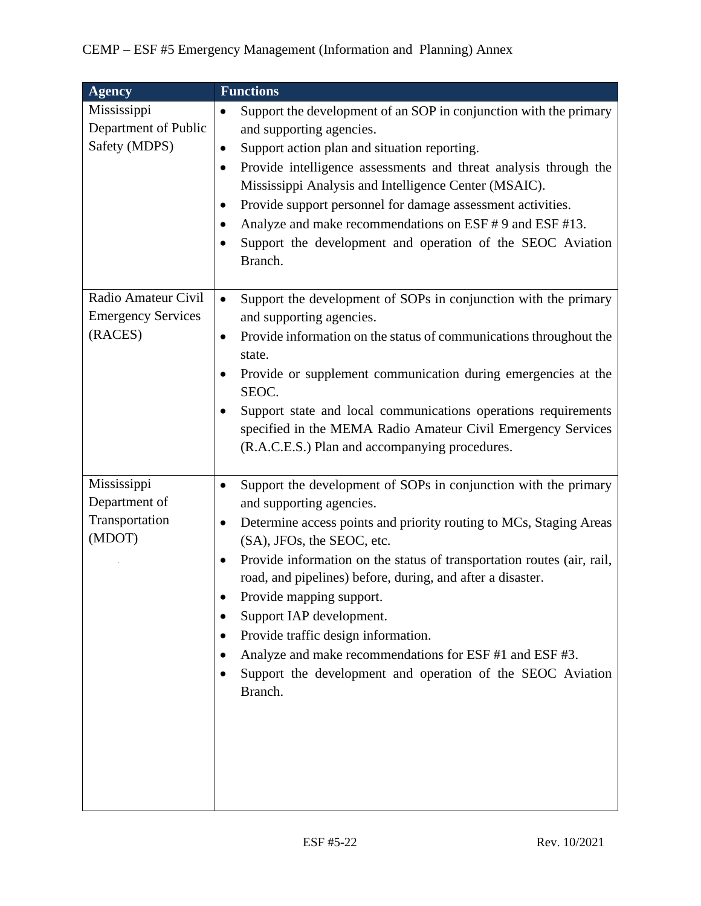| <b>Agency</b>                                               | <b>Functions</b>                                                                                                                                                                                                                                                                                                                                                                                                                                                                                                                                                                        |
|-------------------------------------------------------------|-----------------------------------------------------------------------------------------------------------------------------------------------------------------------------------------------------------------------------------------------------------------------------------------------------------------------------------------------------------------------------------------------------------------------------------------------------------------------------------------------------------------------------------------------------------------------------------------|
| Mississippi<br>Department of Public<br>Safety (MDPS)        | Support the development of an SOP in conjunction with the primary<br>$\bullet$<br>and supporting agencies.<br>Support action plan and situation reporting.<br>$\bullet$<br>Provide intelligence assessments and threat analysis through the<br>٠<br>Mississippi Analysis and Intelligence Center (MSAIC).<br>Provide support personnel for damage assessment activities.<br>$\bullet$<br>Analyze and make recommendations on ESF #9 and ESF #13.<br>Support the development and operation of the SEOC Aviation<br>Branch.                                                               |
| Radio Amateur Civil<br><b>Emergency Services</b><br>(RACES) | Support the development of SOPs in conjunction with the primary<br>$\bullet$<br>and supporting agencies.<br>Provide information on the status of communications throughout the<br>$\bullet$<br>state.<br>Provide or supplement communication during emergencies at the<br>SEOC.<br>Support state and local communications operations requirements<br>specified in the MEMA Radio Amateur Civil Emergency Services<br>(R.A.C.E.S.) Plan and accompanying procedures.                                                                                                                     |
| Mississippi<br>Department of<br>Transportation<br>(MDOT)    | Support the development of SOPs in conjunction with the primary<br>and supporting agencies.<br>Determine access points and priority routing to MCs, Staging Areas<br>$\bullet$<br>(SA), JFOs, the SEOC, etc.<br>Provide information on the status of transportation routes (air, rail,<br>road, and pipelines) before, during, and after a disaster.<br>Provide mapping support.<br>Support IAP development.<br>Provide traffic design information.<br>Analyze and make recommendations for ESF #1 and ESF #3.<br>Support the development and operation of the SEOC Aviation<br>Branch. |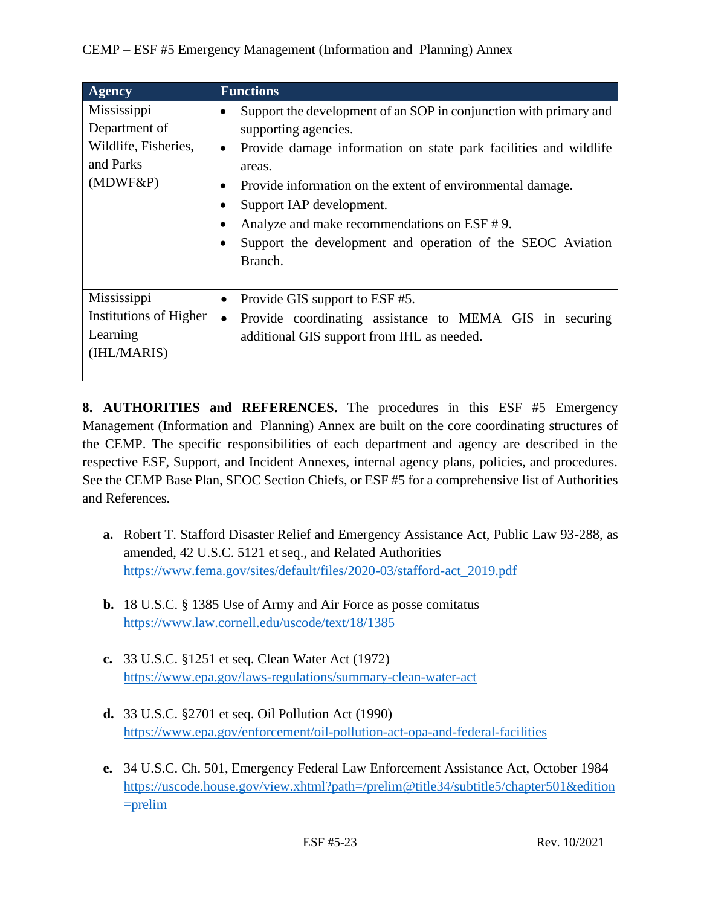| <b>Agency</b>                                                                    | <b>Functions</b>                                                                                                                                                                                                                                                                                                                                                                                       |
|----------------------------------------------------------------------------------|--------------------------------------------------------------------------------------------------------------------------------------------------------------------------------------------------------------------------------------------------------------------------------------------------------------------------------------------------------------------------------------------------------|
| Mississippi<br>Department of<br>Wildlife, Fisheries,<br>and Parks<br>$(MDWF\&P)$ | Support the development of an SOP in conjunction with primary and<br>supporting agencies.<br>Provide damage information on state park facilities and wildlife<br>$\bullet$<br>areas.<br>Provide information on the extent of environmental damage.<br>Support IAP development.<br>Analyze and make recommendations on ESF #9.<br>Support the development and operation of the SEOC Aviation<br>Branch. |
| Mississippi<br>Institutions of Higher<br>Learning<br>(IHL/MARIS)                 | Provide GIS support to ESF #5.<br>Provide coordinating assistance to MEMA GIS in securing<br>$\bullet$<br>additional GIS support from IHL as needed.                                                                                                                                                                                                                                                   |

**8. AUTHORITIES and REFERENCES.** The procedures in this ESF #5 Emergency Management (Information and Planning) Annex are built on the core coordinating structures of the CEMP. The specific responsibilities of each department and agency are described in the respective ESF, Support, and Incident Annexes, internal agency plans, policies, and procedures. See the CEMP Base Plan, SEOC Section Chiefs, or ESF #5 for a comprehensive list of Authorities and References.

- **a.** Robert T. Stafford Disaster Relief and Emergency Assistance Act, Public Law 93-288, as amended, 42 U.S.C. 5121 et seq., and Related Authorities [https://www.fema.gov/sites/default/files/2020-03/stafford-act\\_2019.pdf](https://www.fema.gov/sites/default/files/2020-03/stafford-act_2019.pdf)
- **b.** 18 U.S.C. § 1385 Use of Army and Air Force as posse comitatus <https://www.law.cornell.edu/uscode/text/18/1385>
- **c.** 33 U.S.C. §1251 et seq. Clean Water Act (1972) <https://www.epa.gov/laws-regulations/summary-clean-water-act>
- **d.** 33 U.S.C. §2701 et seq. Oil Pollution Act (1990) <https://www.epa.gov/enforcement/oil-pollution-act-opa-and-federal-facilities>
- **e.** 34 U.S.C. Ch. 501, Emergency Federal Law Enforcement Assistance Act, October 1984 [https://uscode.house.gov/view.xhtml?path=/prelim@title34/subtitle5/chapter501&edition](https://uscode.house.gov/view.xhtml?path=/prelim@title34/subtitle5/chapter501&edition=prelim)  $=$ prelim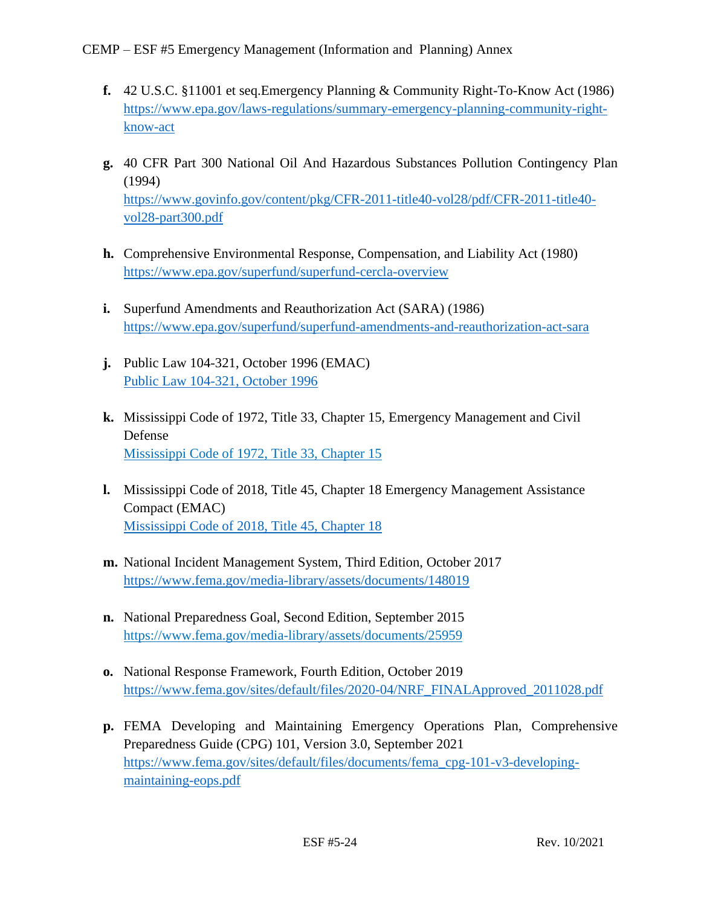- **f.** 42 U.S.C. §11001 et seq.Emergency Planning & Community Right-To-Know Act (1986) [https://www.epa.gov/laws-regulations/summary-emergency-planning-community-right](https://www.epa.gov/laws-regulations/summary-emergency-planning-community-right-know-act)[know-act](https://www.epa.gov/laws-regulations/summary-emergency-planning-community-right-know-act)
- **g.** 40 CFR Part 300 National Oil And Hazardous Substances Pollution Contingency Plan (1994) [https://www.govinfo.gov/content/pkg/CFR-2011-title40-vol28/pdf/CFR-2011-title40](https://www.govinfo.gov/content/pkg/CFR-2011-title40-vol28/pdf/CFR-2011-title40-vol28-part300.pdf) [vol28-part300.pdf](https://www.govinfo.gov/content/pkg/CFR-2011-title40-vol28/pdf/CFR-2011-title40-vol28-part300.pdf)
- **h.** Comprehensive Environmental Response, Compensation, and Liability Act (1980) <https://www.epa.gov/superfund/superfund-cercla-overview>
- **i.** Superfund Amendments and Reauthorization Act (SARA) (1986) <https://www.epa.gov/superfund/superfund-amendments-and-reauthorization-act-sara>
- **j.** Public Law 104-321, October 1996 (EMAC) [Public Law 104-321, October 1996](https://www.congress.gov/104/plaws/publ321/PLAW-104publ321.pdf)
- **k.** Mississippi Code of 1972, Title 33, Chapter 15, Emergency Management and Civil Defense [Mississippi Code of 1972, Title 33, Chapter 15](https://law.justia.com/codes/mississippi/2010/title-33/15/)
- **l.** Mississippi Code of 2018, Title 45, Chapter 18 Emergency Management Assistance Compact (EMAC) [Mississippi Code of 2018, Title 45, Chapter 18](https://law.justia.com/codes/mississippi/2018/title-45/chapter-18/)
- **m.** National Incident Management System, Third Edition, October 2017 <https://www.fema.gov/media-library/assets/documents/148019>
- **n.** National Preparedness Goal, Second Edition, September 2015 <https://www.fema.gov/media-library/assets/documents/25959>
- **o.** National Response Framework, Fourth Edition, October 2019 [https://www.fema.gov/sites/default/files/2020-04/NRF\\_FINALApproved\\_2011028.pdf](https://www.fema.gov/sites/default/files/2020-04/NRF_FINALApproved_2011028.pdf)
- **p.** FEMA Developing and Maintaining Emergency Operations Plan, Comprehensive Preparedness Guide (CPG) 101, Version 3.0, September 2021 [https://www.fema.gov/sites/default/files/documents/fema\\_cpg-101-v3-developing](https://www.fema.gov/sites/default/files/documents/fema_cpg-101-v3-developing-maintaining-eops.pdf)[maintaining-eops.pdf](https://www.fema.gov/sites/default/files/documents/fema_cpg-101-v3-developing-maintaining-eops.pdf)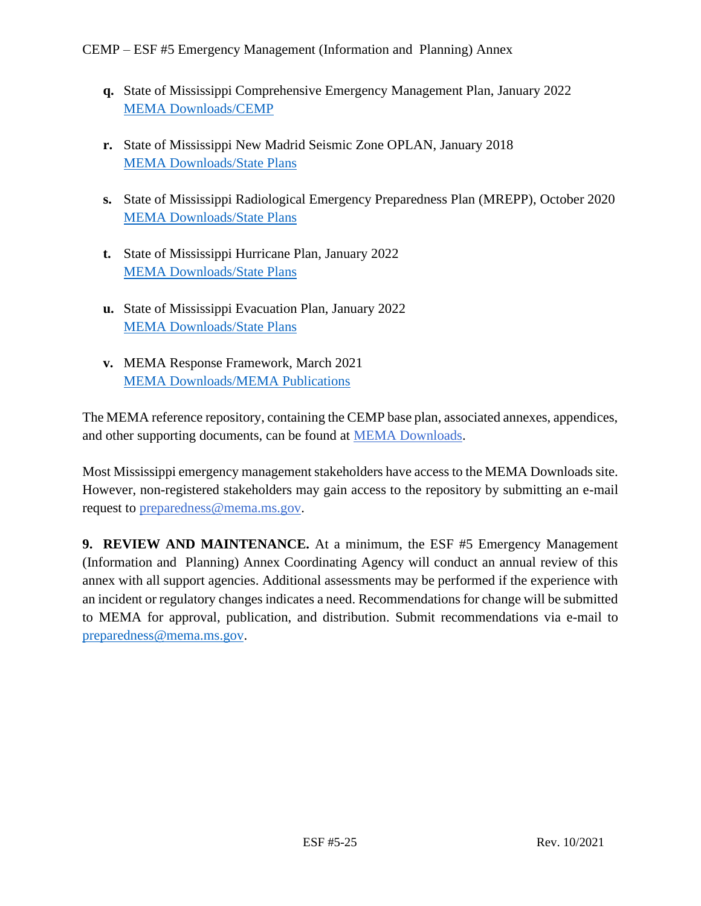- **q.** State of Mississippi Comprehensive Emergency Management Plan, January 2022 [MEMA Downloads/CEMP](https://msmema.sharepoint.com/Shared%20Documents/Forms/AllItems.aspx?id=%2FShared%20Documents%2FMEMA%20Downloads%2FComprehensive%20Emergency%20Management%20Plan%20%2D%202022&viewid=8f98db8b%2D85b5%2D471a%2Db3cc%2D6cc4ee9e7407)
- **r.** State of Mississippi New Madrid Seismic Zone OPLAN, January 2018 [MEMA Downloads/State Plans](https://msmema.sharepoint.com/Shared%20Documents/Forms/AllItems.aspx?viewid=8f98db8b%2D85b5%2D471a%2Db3cc%2D6cc4ee9e7407&id=%2FShared%20Documents%2FMEMA%20Downloads%2FState%20Plans)
- **s.** State of Mississippi Radiological Emergency Preparedness Plan (MREPP), October 2020 [MEMA Downloads/State Plans](https://msmema.sharepoint.com/Shared%20Documents/Forms/AllItems.aspx?viewid=8f98db8b%2D85b5%2D471a%2Db3cc%2D6cc4ee9e7407&id=%2FShared%20Documents%2FMEMA%20Downloads%2FState%20Plans)
- **t.** State of Mississippi Hurricane Plan, January 2022 [MEMA Downloads/State Plans](https://msmema.sharepoint.com/Shared%20Documents/Forms/AllItems.aspx?viewid=8f98db8b%2D85b5%2D471a%2Db3cc%2D6cc4ee9e7407&id=%2FShared%20Documents%2FMEMA%20Downloads%2FState%20Plans)
- **u.** State of Mississippi Evacuation Plan, January 2022 [MEMA Downloads/State Plans](https://msmema.sharepoint.com/Shared%20Documents/Forms/AllItems.aspx?viewid=8f98db8b%2D85b5%2D471a%2Db3cc%2D6cc4ee9e7407&id=%2FShared%20Documents%2FMEMA%20Downloads%2FState%20Plans)
- **v.** MEMA Response Framework, March 2021 [MEMA Downloads/MEMA Publications](https://msmema.sharepoint.com/Shared%20Documents/Forms/AllItems.aspx?viewid=8f98db8b%2D85b5%2D471a%2Db3cc%2D6cc4ee9e7407&id=%2FShared%20Documents%2FMEMA%20Downloads%2FMEMA%20Publications)

The MEMA reference repository, containing the CEMP base plan, associated annexes, appendices, and other supporting documents, can be found at [MEMA Downloads.](https://msmema.sharepoint.com/:f:/g/EqOo4aFNl0dPjja3MdSpSSsBlSoSLEznRJvlUGHnID2Crw?e=G23aoB)

Most Mississippi emergency management stakeholders have access to the MEMA Downloads site. However, non-registered stakeholders may gain access to the repository by submitting an e-mail request to [preparedness@mema.ms.gov.](mailto:preparedness@mema.ms.gov)

**9. REVIEW AND MAINTENANCE.** At a minimum, the ESF #5 Emergency Management (Information and Planning) Annex Coordinating Agency will conduct an annual review of this annex with all support agencies. Additional assessments may be performed if the experience with an incident or regulatory changes indicates a need. Recommendations for change will be submitted to MEMA for approval, publication, and distribution. Submit recommendations via e-mail to [preparedness@mema.ms.gov.](mailto:preparedness@mema.ms.gov)